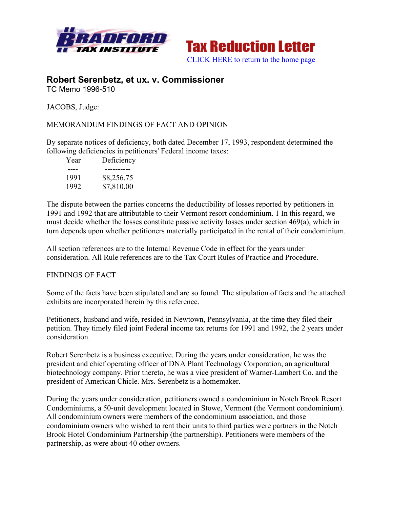



## **Robert Serenbetz, et ux. v. Commissioner** TC Memo 1996-510

JACOBS, Judge:

## MEMORANDUM FINDINGS OF FACT AND OPINION

By separate notices of deficiency, both dated December 17, 1993, respondent determined the following deficiencies in petitioners' Federal income taxes:

| Year | Deficiency |
|------|------------|
|      |            |
| 1991 | \$8,256.75 |
| 1992 | \$7,810.00 |

The dispute between the parties concerns the deductibility of losses reported by petitioners in 1991 and 1992 that are attributable to their Vermont resort condominium. 1 In this regard, we must decide whether the losses constitute passive activity losses under section 469(a), which in turn depends upon whether petitioners materially participated in the rental of their condominium.

All section references are to the Internal Revenue Code in effect for the years under consideration. All Rule references are to the Tax Court Rules of Practice and Procedure.

## FINDINGS OF FACT

Some of the facts have been stipulated and are so found. The stipulation of facts and the attached exhibits are incorporated herein by this reference.

Petitioners, husband and wife, resided in Newtown, Pennsylvania, at the time they filed their petition. They timely filed joint Federal income tax returns for 1991 and 1992, the 2 years under consideration.

Robert Serenbetz is a business executive. During the years under consideration, he was the president and chief operating officer of DNA Plant Technology Corporation, an agricultural biotechnology company. Prior thereto, he was a vice president of Warner-Lambert Co. and the president of American Chicle. Mrs. Serenbetz is a homemaker.

During the years under consideration, petitioners owned a condominium in Notch Brook Resort Condominiums, a 50-unit development located in Stowe, Vermont (the Vermont condominium). All condominium owners were members of the condominium association, and those condominium owners who wished to rent their units to third parties were partners in the Notch Brook Hotel Condominium Partnership (the partnership). Petitioners were members of the partnership, as were about 40 other owners.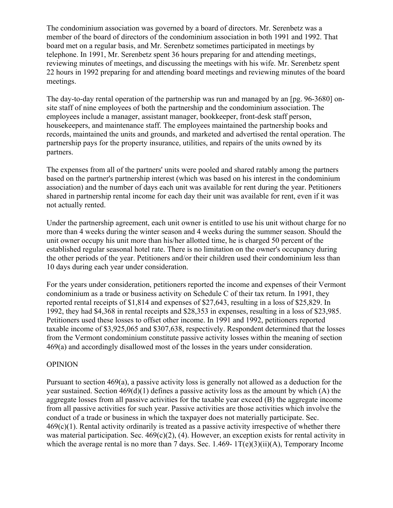The condominium association was governed by a board of directors. Mr. Serenbetz was a member of the board of directors of the condominium association in both 1991 and 1992. That board met on a regular basis, and Mr. Serenbetz sometimes participated in meetings by telephone. In 1991, Mr. Serenbetz spent 36 hours preparing for and attending meetings, reviewing minutes of meetings, and discussing the meetings with his wife. Mr. Serenbetz spent 22 hours in 1992 preparing for and attending board meetings and reviewing minutes of the board meetings.

The day-to-day rental operation of the partnership was run and managed by an [pg. 96-3680] onsite staff of nine employees of both the partnership and the condominium association. The employees include a manager, assistant manager, bookkeeper, front-desk staff person, housekeepers, and maintenance staff. The employees maintained the partnership books and records, maintained the units and grounds, and marketed and advertised the rental operation. The partnership pays for the property insurance, utilities, and repairs of the units owned by its partners.

The expenses from all of the partners' units were pooled and shared ratably among the partners based on the partner's partnership interest (which was based on his interest in the condominium association) and the number of days each unit was available for rent during the year. Petitioners shared in partnership rental income for each day their unit was available for rent, even if it was not actually rented.

Under the partnership agreement, each unit owner is entitled to use his unit without charge for no more than 4 weeks during the winter season and 4 weeks during the summer season. Should the unit owner occupy his unit more than his/her allotted time, he is charged 50 percent of the established regular seasonal hotel rate. There is no limitation on the owner's occupancy during the other periods of the year. Petitioners and/or their children used their condominium less than 10 days during each year under consideration.

For the years under consideration, petitioners reported the income and expenses of their Vermont condominium as a trade or business activity on Schedule C of their tax return. In 1991, they reported rental receipts of \$1,814 and expenses of \$27,643, resulting in a loss of \$25,829. In 1992, they had \$4,368 in rental receipts and \$28,353 in expenses, resulting in a loss of \$23,985. Petitioners used these losses to offset other income. In 1991 and 1992, petitioners reported taxable income of \$3,925,065 and \$307,638, respectively. Respondent determined that the losses from the Vermont condominium constitute passive activity losses within the meaning of section 469(a) and accordingly disallowed most of the losses in the years under consideration.

## OPINION

Pursuant to section 469(a), a passive activity loss is generally not allowed as a deduction for the year sustained. Section 469(d)(1) defines a passive activity loss as the amount by which (A) the aggregate losses from all passive activities for the taxable year exceed (B) the aggregate income from all passive activities for such year. Passive activities are those activities which involve the conduct of a trade or business in which the taxpayer does not materially participate. Sec.  $469(c)(1)$ . Rental activity ordinarily is treated as a passive activity irrespective of whether there was material participation. Sec. 469(c)(2), (4). However, an exception exists for rental activity in which the average rental is no more than 7 days. Sec. 1.469-  $1T(e)(3)(ii)(A)$ , Temporary Income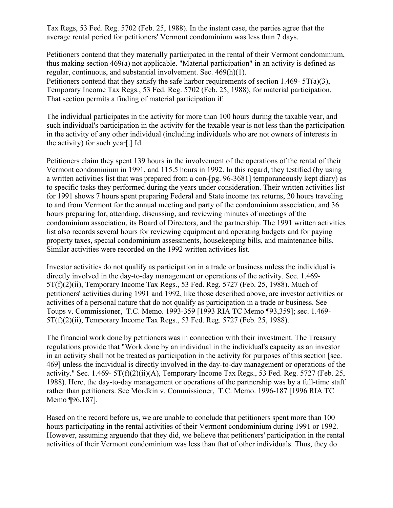Tax Regs, 53 Fed. Reg. 5702 (Feb. 25, 1988). In the instant case, the parties agree that the average rental period for petitioners' Vermont condominium was less than 7 days.

Petitioners contend that they materially participated in the rental of their Vermont condominium, thus making section 469(a) not applicable. "Material participation" in an activity is defined as regular, continuous, and substantial involvement. Sec. 469(h)(1). Petitioners contend that they satisfy the safe harbor requirements of section 1.469-  $5T(a)(3)$ , Temporary Income Tax Regs., 53 Fed. Reg. 5702 (Feb. 25, 1988), for material participation. That section permits a finding of material participation if:

The individual participates in the activity for more than 100 hours during the taxable year, and such individual's participation in the activity for the taxable year is not less than the participation in the activity of any other individual (including individuals who are not owners of interests in the activity) for such year[.] Id.

Petitioners claim they spent 139 hours in the involvement of the operations of the rental of their Vermont condominium in 1991, and 115.5 hours in 1992. In this regard, they testified (by using a written activities list that was prepared from a con-[pg. 96-3681] temporaneously kept diary) as to specific tasks they performed during the years under consideration. Their written activities list for 1991 shows 7 hours spent preparing Federal and State income tax returns, 20 hours traveling to and from Vermont for the annual meeting and party of the condominium association, and 36 hours preparing for, attending, discussing, and reviewing minutes of meetings of the condominium association, its Board of Directors, and the partnership. The 1991 written activities list also records several hours for reviewing equipment and operating budgets and for paying property taxes, special condominium assessments, housekeeping bills, and maintenance bills. Similar activities were recorded on the 1992 written activities list.

Investor activities do not qualify as participation in a trade or business unless the individual is directly involved in the day-to-day management or operations of the activity. Sec. 1.469- 5T(f)(2)(ii), Temporary Income Tax Regs., 53 Fed. Reg. 5727 (Feb. 25, 1988). Much of petitioners' activities during 1991 and 1992, like those described above, are investor activities or activities of a personal nature that do not qualify as participation in a trade or business. See Toups v. Commissioner, T.C. Memo. 1993-359 [1993 RIA TC Memo ¶93,359]; sec. 1.469- 5T(f)(2)(ii), Temporary Income Tax Regs., 53 Fed. Reg. 5727 (Feb. 25, 1988).

The financial work done by petitioners was in connection with their investment. The Treasury regulations provide that "Work done by an individual in the individual's capacity as an investor in an activity shall not be treated as participation in the activity for purposes of this section [sec. 469] unless the individual is directly involved in the day-to-day management or operations of the activity." Sec.  $1.469 - 5T(f)(2)(ii)(A)$ , Temporary Income Tax Regs., 53 Fed. Reg. 5727 (Feb. 25, 1988). Here, the day-to-day management or operations of the partnership was by a full-time staff rather than petitioners. See Mordkin v. Commissioner, T.C. Memo. 1996-187 [1996 RIA TC Memo ¶96,187].

Based on the record before us, we are unable to conclude that petitioners spent more than 100 hours participating in the rental activities of their Vermont condominium during 1991 or 1992. However, assuming arguendo that they did, we believe that petitioners' participation in the rental activities of their Vermont condominium was less than that of other individuals. Thus, they do